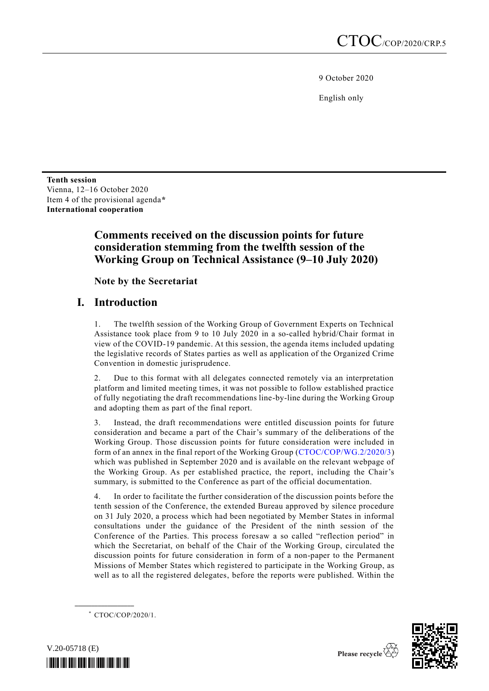9 October 2020

English only

**Tenth session** Vienna, 12–16 October 2020 Item 4 of the provisional agenda**\* International cooperation**

# **Comments received on the discussion points for future consideration stemming from the twelfth session of the Working Group on Technical Assistance (9–10 July 2020)**

**Note by the Secretariat**

# **I. Introduction**

1. The twelfth session of the Working Group of Government Experts on Technical Assistance took place from 9 to 10 July 2020 in a so-called hybrid/Chair format in view of the COVID-19 pandemic. At this session, the agenda items included updating the legislative records of States parties as well as application of the Organized Crime Convention in domestic jurisprudence.

2. Due to this format with all delegates connected remotely via an interpretation platform and limited meeting times, it was not possible to follow established practice of fully negotiating the draft recommendations line-by-line during the Working Group and adopting them as part of the final report.

3. Instead, the draft recommendations were entitled discussion points for future consideration and became a part of the Chair's summary of the deliberations of the Working Group. Those discussion points for future consideration were included in form of an annex in the final report of the Working Group [\(CTOC/COP/WG.2/2020/3\)](http://undocs.org/CTOC/COP/WG.2/2020/3) which was published in September 2020 and is available on the relevant webpage of the Working Group. As per established practice, the report, including the Chair's summary, is submitted to the Conference as part of the official documentation.

4. In order to facilitate the further consideration of the discussion points before the tenth session of the Conference, the extended Bureau approved by silence procedure on 31 July 2020, a process which had been negotiated by Member States in informal consultations under the guidance of the President of the ninth session of the Conference of the Parties. This process foresaw a so called "reflection period" in which the Secretariat, on behalf of the Chair of the Working Group, circulated the discussion points for future consideration in form of a non-paper to the Permanent Missions of Member States which registered to participate in the Working Group, as well as to all the registered delegates, before the reports were published. Within the

\* CTOC/COP/2020/1.

**\_\_\_\_\_\_\_\_\_\_\_\_\_\_\_\_\_\_**



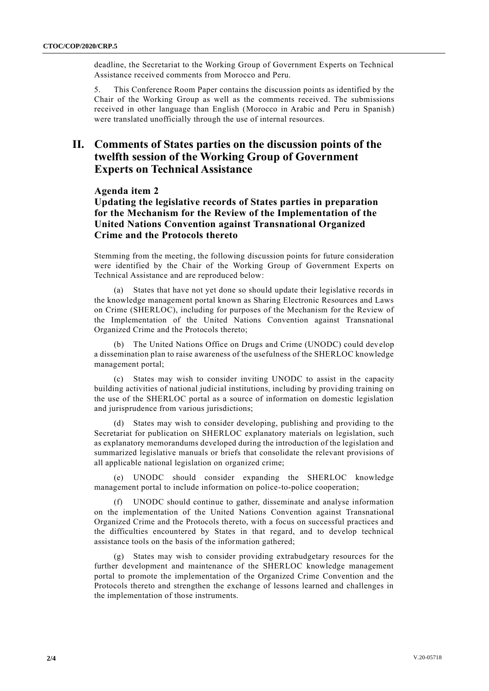deadline, the Secretariat to the Working Group of Government Experts on Technical Assistance received comments from Morocco and Peru.

5. This Conference Room Paper contains the discussion points as identified by the Chair of the Working Group as well as the comments received. The submissions received in other language than English (Morocco in Arabic and Peru in Spanish) were translated unofficially through the use of internal resources.

## **II. Comments of States parties on the discussion points of the twelfth session of the Working Group of Government Experts on Technical Assistance**

### **Agenda item 2**

**Updating the legislative records of States parties in preparation for the Mechanism for the Review of the Implementation of the United Nations Convention against Transnational Organized Crime and the Protocols thereto**

Stemming from the meeting, the following discussion points for future consideration were identified by the Chair of the Working Group of Government Experts on Technical Assistance and are reproduced below:

(a) States that have not yet done so should update their legislative records in the knowledge management portal known as Sharing Electronic Resources and Laws on Crime (SHERLOC), including for purposes of the Mechanism for the Review of the Implementation of the United Nations Convention against Transnational Organized Crime and the Protocols thereto;

(b) The United Nations Office on Drugs and Crime (UNODC) could develop a dissemination plan to raise awareness of the usefulness of the SHERLOC knowledge management portal;

(c) States may wish to consider inviting UNODC to assist in the capacity building activities of national judicial institutions, including by providing training on the use of the SHERLOC portal as a source of information on domestic legislation and jurisprudence from various jurisdictions;

States may wish to consider developing, publishing and providing to the Secretariat for publication on SHERLOC explanatory materials on legislation, such as explanatory memorandums developed during the introduction of the legislation and summarized legislative manuals or briefs that consolidate the relevant provisions of all applicable national legislation on organized crime;

(e) UNODC should consider expanding the SHERLOC knowledge management portal to include information on police-to-police cooperation;

(f) UNODC should continue to gather, disseminate and analyse information on the implementation of the United Nations Convention against Transnational Organized Crime and the Protocols thereto, with a focus on successful practices and the difficulties encountered by States in that regard, and to develop technical assistance tools on the basis of the information gathered;

(g) States may wish to consider providing extrabudgetary resources for the further development and maintenance of the SHERLOC knowledge management portal to promote the implementation of the Organized Crime Convention and the Protocols thereto and strengthen the exchange of lessons learned and challenges in the implementation of those instruments.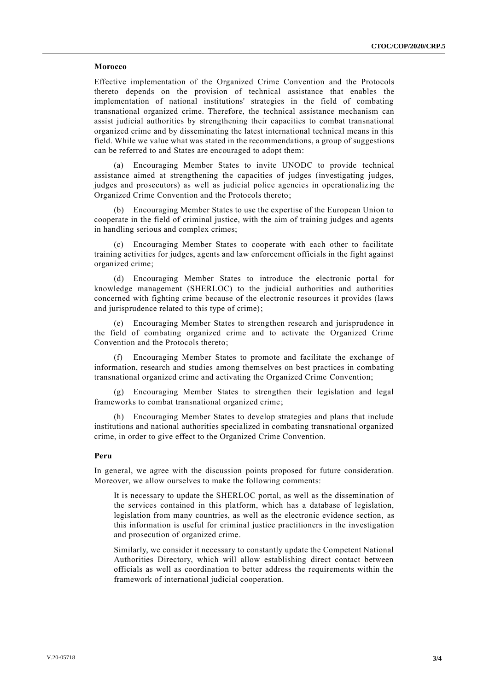#### **Morocco**

Effective implementation of the Organized Crime Convention and the Protocols thereto depends on the provision of technical assistance that enables the implementation of national institutions' strategies in the field of combating transnational organized crime. Therefore, the technical assistance mechanism can assist judicial authorities by strengthening their capacities to combat transnational organized crime and by disseminating the latest international technical means in this field. While we value what was stated in the recommendations, a group of suggestions can be referred to and States are encouraged to adopt them:

(a) Encouraging Member States to invite UNODC to provide technical assistance aimed at strengthening the capacities of judges (investigating judges, judges and prosecutors) as well as judicial police agencies in operationalizing the Organized Crime Convention and the Protocols thereto;

(b) Encouraging Member States to use the expertise of the European Union to cooperate in the field of criminal justice, with the aim of training judges and agents in handling serious and complex crimes;

(c) Encouraging Member States to cooperate with each other to facilitate training activities for judges, agents and law enforcement officials in the fight against organized crime;

(d) Encouraging Member States to introduce the electronic portal for knowledge management (SHERLOC) to the judicial authorities and authorities concerned with fighting crime because of the electronic resources it provides (laws and jurisprudence related to this type of crime);

(e) Encouraging Member States to strengthen research and jurisprudence in the field of combating organized crime and to activate the Organized Crime Convention and the Protocols thereto;

(f) Encouraging Member States to promote and facilitate the exchange of information, research and studies among themselves on best practices in combating transnational organized crime and activating the Organized Crime Convention;

(g) Encouraging Member States to strengthen their legislation and legal frameworks to combat transnational organized crime;

(h) Encouraging Member States to develop strategies and plans that include institutions and national authorities specialized in combating transnational organized crime, in order to give effect to the Organized Crime Convention.

#### **Peru**

In general, we agree with the discussion points proposed for future consideration. Moreover, we allow ourselves to make the following comments:

It is necessary to update the SHERLOC portal, as well as the dissemination of the services contained in this platform, which has a database of legislation, legislation from many countries, as well as the electronic evidence section, as this information is useful for criminal justice practitioners in the investigation and prosecution of organized crime.

Similarly, we consider it necessary to constantly update the Competent National Authorities Directory, which will allow establishing direct contact between officials as well as coordination to better address the requirements within the framework of international judicial cooperation.